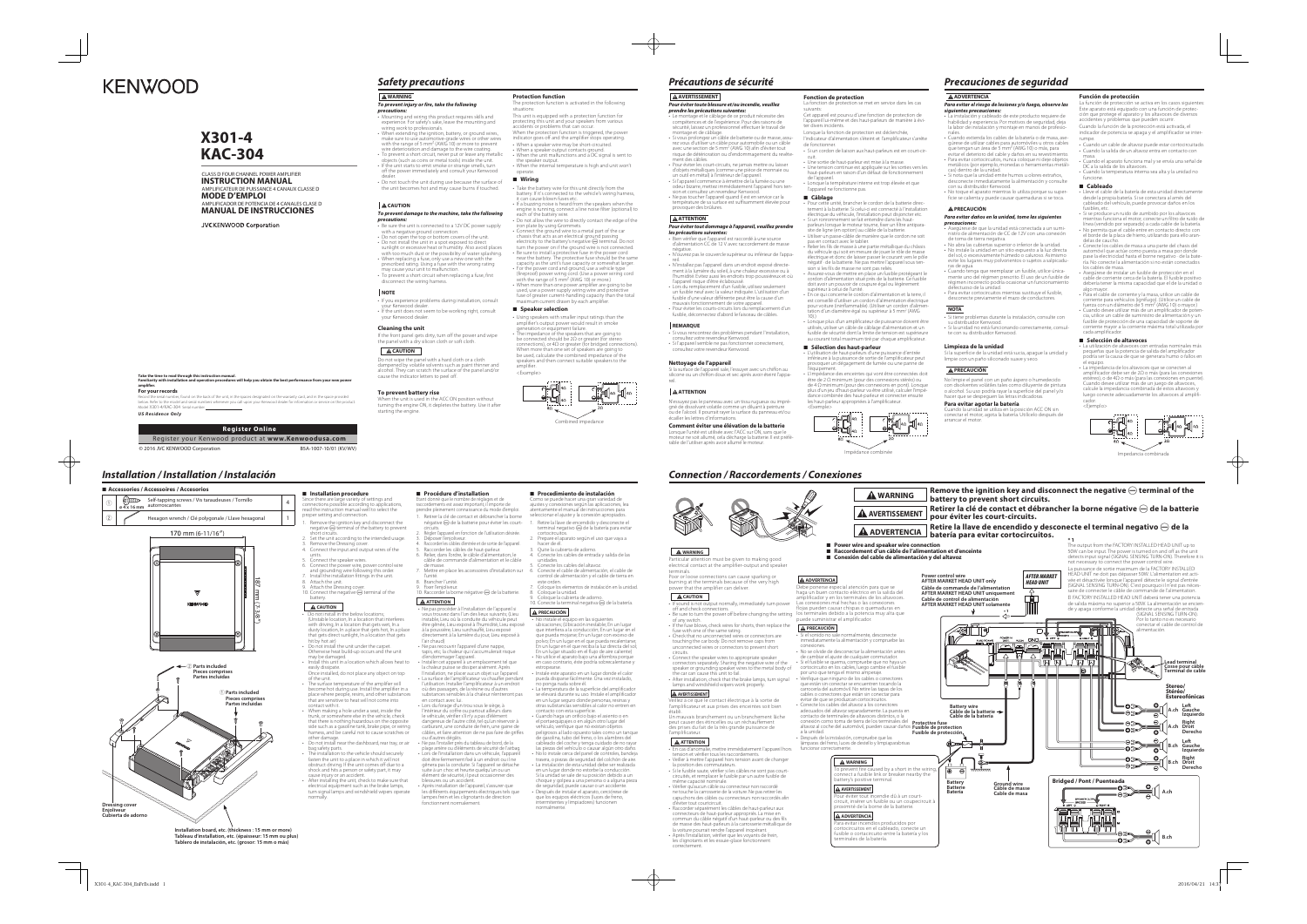### **WARNING***To prevent injury or fire, take the following*

- **Precautions:**<br>
 Mounting and wiring this product requires skills and<br>
wexpreience. For safety's sake, leave the mounting and<br>
wiring work to professionals.<br>
 When extending the ignition, battery, or ground wires,<br>
make
- 
- 
- 
- 
- Do not touch the unit during use because the surface of the unit becomes hot and may cause burns if touched.

- 
- Be sure the unit is connected to a 12V DC power supply<br>with a negative ground connection.<br>• Do not open the top or bottom covers of the unit.<br>• Do not install the unit in a spot exposed to direct<br>sunlight or execsive he
- 
- disconnect the wiring harness.

ience problems during installation, consult your Kenwood dealer. • If the unit does not seem to be working right, consult your Kenwood dealer.

## **CAUTION**

### *To prevent damage to the machine, take the following precautions:*

 Do not wipe the panel with a hard cloth or a cloth dampened by volatile solvents such as paint thinner and alcohol. They can scratch the surface of the panel and/or cause the indicator letters to peel off.

EVEIN DUCCLY 13C<br>the unit is used in the ACC ON position without turning the engine ON, it depletes the battery. Use it after starting the engine.

- Take the battery wire for this unit directly from the battery. If it's connected to the vehicle's wiring harness,
- it can cause blown fuses etc. If a buzzing noise is heard from the speakers when the gine is running, connect a line noise filter (optional) to each of the battery wire.
- Do not allow the wire to directly contact the edge of the iron plate by using Grommets.<br>Connect the ground wire to a metal part of the car
- 
- 
- Connect the ground wire to a metal part of the car<br>
chassis that acts as a nelectrical ground passing<br>
clectricity to the battery's negative  $\bigoplus$  terminal. Do not<br>
turn the power on if the ground wire is not connected
- 
- 
- 

### **NOTE**

### **Cleaning the unit**

If the front panel gets dirty, turn off the power and wipe the panel with a dry silicon cloth or soft cloth.

#### **A** CAUTION

#### **To prevent battery rise**

### **Protection function**

- 
- Using speakers with smaller input ratings than the amplifier's output power would result in smoke<br>generation or equipment failure.<br>• The impedance of the speakers that are going to<br>be connected should be  $2\Omega$  or greate speakers and then connect suitable speakers to the amplifier.

#### **A AVERTISSEMENT** *Pour éviter toute blessure et/ou incendie, veuillez*

**AATTENTION** 

- The protection function is activated in the following situations:This unit is equipped with a protection function for
- protecting this unit and your speakers from various accidents or problems that can occur.
- When the protection function is triggered, the power indicator goes off and the amplifier stops operating.
- when a speaker wire may be short-circuited.
- When a speaker output contacts ground. When the unit malfunctions and a DC signal is sent to
- the speaker output. • When the internal temperature is high and unit won't operate.

#### <sup>7</sup> **Wiring**

• Lors du remplacement d'un fusible, utilisez seulement un fusible neuf avec la valeur indiquée. L'utilisation d'un fusible d'une valeur différente peut être la cause d'un mauvais fonctionnement de votre appareil. • Pour éviter les courts-circuits lors du remplacement d'un fusible, déconnectez d'abord le faisceau de câbles

Lorsque la fonction de protection est déclenchée, dicateur d'alimentation s'éteint et l'amplificateur s'arrête

#### <sup>7</sup> **Speaker selection**



# *Précautions de sécurité*

*prendre les précautions suivantes:*

- **Câblage**<br>• Pour cette unité, brancher le cordon de la batterie directement à la batterie. Si celui-ci est connecté à l'installation<br>électrique du véhicule, l'installation peut disjoncter etc. • Si un ronronnement se fait entendre dans les haut-
- parleurs lorsque le moteur tourne, fixer un filtre antiparasite de ligne (en option) au câble de la batterie. • Utiliser un passe-câble de manière que le cordon ne soit
- pas en contact avec le tablier.
- Relier les fils de masse à une partie métallique du châssis<br>du véhicule qui soit en mesure de jouer le rôle de masse<br>électrique et donc de laisser passer le courant vers le pôle<br>négatif · de la batterie. Ne pas mettre l' sion si les fils de masse ne sont pas reliés.
- ment à la lumière du soleil, à une chaleur excessive ou à l'humidité. Evitez aussi les endroits trop poussiéreux et où • Assurez-vous de mettre en place un fusible protégeant le cordon d'alimentation situé près de la batterie. Ce fusible doit avoir un pouvoir de coupure égal ou légèrement supérieur à celui de l'unité
	- En ce qui concerne le cordon d'alimentation et la terre, il est conseillé d'utiliser un cordon d'alimentation électrique pour voiture (ininflammable). (Utiliser un cordon d'alimentation d'un diamètre égal ou supérieur à 5 mm2 (AWG
	- 10).) Lorsque plus d'un amplificateur de puissance doivent être utilisés utilisés.<br>Isér un câble de câblage d'alimentation et un fusible de sécurité dont la limite de tension est supérieure au courant total maximum tiré par chaque amplificateur.

• Le montage et le câblage de ce produit nécessite des compétences et de l'expérience. Pour des raisons de sécurité, laissez un professionnel effectuer le travail de

montage et de câblage.<br>• Si vous prolongez un câble de batterie ou de masse, assu-<br>rez vous d'utiliser un câble pour automobile ou un câble<br>rez une section de 5 mm<sup>2</sup> (AWG 10) afin d'éviter tout<br>risque de détérioration ou

ment des câbles.<br>• Pour évite les court-circuits, ne jamais mettre ou laisser<br>d'objets métalliques (comme une pièce de monnaie ou<br>d'objets métalliques (comme une pièce de monnaie ou<br>un outil en métal) à l'intérieur de l'ap

température de sa surface est suffisamment élevée pour provoquer des brûlures.

 *Pour éviter tout dommage à l'appareil, veuillez prendre les précautions suivantes:* • Bien vérifier que l'appareil est raccordé à une source d'alimentation CC de 12 V avec raccordement de masse

négative.

• N'ouvrez pas le couvercle supérieur ou inférieur de l'appa-

reil.

• N'installez pas l'appareil dans un endroit exposé directe-

- •<br>• problemas durante la instalación, consulte con. su distribuidor Kenwood. • Si la unidad no está funcionando correctamente, consul-te con su distribuidor Kenwood.
- 

l'appareil risque d'être éclaboussé.

as reneommez des problemie<br>Liltez votre revendeur Kenwo

No limpie el panel con un paño áspero o humedecido entes volátiles tales como diluvente de pintura o alcohol. Su uso podría rayar la superficie del panel y/o hacer que se despeguen las letras indicadoras.

cción se activa en los casos siguiente Este aparato está equipado con una función de protec-ción que protege el aparato y los altavoces de diversos accidentes y problemas que pueden ocurrir. Cuando la función de la protección está activada, el

idicador de potencia se apaga y el amplificador se inter

**REMARQUE**

• Si l'appareil semble ne pas fonctionner correctement, consultez votre revendeur Kenwood.

**Nettoyage de l'appareil**

Si la surface de l'appareil sale, l'essuyer avec un chiffon au silicone ou un chiffon doux et sec après avoir éteint l'appa-

reil.

 **ATTENTION**

N'essuyez pas le panneau avec un tissu rugueux ou impré-

,<br>*r* des problèmes pendant l'installation

écailler les lettres d'informations.

#### **Fonction de protection**

- La utilización de altavoces con entradas nominales más pequeñas que la potencia de salida del amplificador podría ser la causa de que se generara humo o fallos en
- el equipo.<br>• La impedancia de los altavoces que se conecten al<br>amplificador debe ser de 2Ω o más (para las conexiones<br>estéreo), o de 4Ω o más (para las conexiones en puente).<br>Cuando desee utilizar más de un juego de altavo

La fonction de protection se met en service dans les cas

suivants: Cet appareil est pourvu d'une fonction de protection de l'appareil lui-même et des haut-parleurs de manière à évi-ter divers incidents.

- de fonctionner. • Si un cordon de liaison aux haut-parleurs est en court-cir-
- cuit. Une sortie de haut-parleur est mise à la masse.
- Une tension continue est appliquée sur les sorties vers les haut-parleurs en raison d'un défaut de fonctionnement
- de l'appareil. Lorsque la température interne est trop élevée et que l'appareil ne fonctionne pas.

 $\blacksquare$  Installation procedure Since there are large variety of settings and connections possible according to applications, read the instruction manual well to select the proper setting and connection.

1. Remove the ignition key and disconnect the negative  $\ominus$  terminal of the battery to prevent short circuits. 2. Set the unit according to the intended usage.

- units. 5. Connect the speaker wires. 6. Connect the power wire, power control wire and grounding wire following this order. 7. Install the installation fittings in the unit.
- 8. Attach the unit.<br>9. Attach the Dressing cover.<br>10. Connect the negative ⊖ terminal of the<br>battery.

### $\Delta$  CAUTION

gné de dissolvant volatile comme un diluant à peinture te de dissortant roidine eomme an diladint a permare<br>1 de l'alcool. Il pourrait raver la surface du panneau et/ou **Comment éviter une élévation de la batterie**moteur ne soit allumé, cela décharge la batterie. Il est préfé-rable de l'utiliser après avoir allumé le moteur. <Exemple>

- Do not install in the below locations;<br>(Unstable location, In a location that interferes<br>with driving, In a location that gets wet, In a<br>dusty location, In a place that gets hot, In a place<br>that gets direct sunlight, In a hit by hot air) • Do not install the unit under the carpet. Otherwise heat build-up occurs and the unit
- may be damaged. Install this unit in a location which allows heat to
- easily dissipate. Once installed, do not place any object on top
- of the unit. • The surface temperature of the amplifier will become hot during use. Install the amplifier in a place where people, resins, and other substances that are sensitive to heat will not come into contact with it.
- When making a hole under a seat, inside the trunk, or somewhere else in the vehicle, check that there is nothing hazardous on the opposite
- side such as a gasoline tank, brake pipe, or wiring harness, and be careful not to cause scratches or other damage. • Do not install near the dashboard, rear tray, or air
- bag safety parts. The installation to the vehicle should securely
- fasten the unit to a place in which it will not obstruct driving. If the unit comes off due to a shock and hits a person or safety part, it may cause injury or an accident. • After installing the unit, check to make sure that
- electrical equipment such as the brake lamps, turn signal lamps and windshield wipers operate normally.

### **■ Procédure d'installation**

- $\mathsf{n}$ égative  $\ominus$  de la batterie pour éviter les court-
- circuits. 2. Régler l'appareil en fonction de l'utilisation désirée.
- 3. Déposer l'enjoliveur.<br>4. Raccorde les câbles d'entrée et de sortie de l'appareil.<br>5. Raccorder les câbles de haut-parleur.<br>6. Relier, dans l'ordre, le câble d'alimentation, le<br>câble de commande d'alimentation et le câbl
- 
- 7. Mettre en place les accessoires d'installation sur l'unité. 8. Brancher l'unité. 9. Fixer l'enjoliveur. 10. Raccorder la borne négative · de la batterie.
- 

# **A** ATTENTION

• Ne pas procéder à l'installation de l'appareil si<br>vous trouvez dans l'un des lieux suivants; (Lieu<br>instable, Lieu où la conduite du véhicule peut<br>étre gênée, Lieu exposé à l'humidité, Lieu exposé<br>à la poussière, Lieu sur

#### <sup>7</sup> **Sélection des haut-parleur**

- L'utilisation de haut-parleurs d'une puissance d'entrée inférieure à la puissance de sortie de l'amplificateur peut provoquer un dégagement de fumée ou une panne de l'équipement. • L'impédance des enceintes qui vont être connectées doit
- être de 2 Ω minimum (pour des connexions stéréo) ou de 4 Ω minimum (pour des connexions en pont). Lorsque plus d'un jeu d'haut-parleur va être utilisé, calculer l'impé dance combinée des haut-parleur et connecter ensuite les haut-parleur appropriées à l'amplificateur.

lisation. Installer l'amplificateur à un endroit où des passagers, de la résine ou d'autres substances sensibles à la chaleur n'entreront pas Impédance combinée

 $\sum_{\alpha=1}^{\infty} \int_{4\alpha}$ 

# *Precauciones de seguridad*

#### **ADVERTENCIA**

- *Para evitar el riesgo de lesiones y/o fuego, observe las siguientes precauciones:*
- La instalación y cableado de este producto requiere de habilidad y experiencia. Por motivos de seguridad, deja la labor de instalación y montaje en manos de profesionales.• Cuando extienda los cables de la batería o de masa, ase-
- gúrese de utilizar cables para automóviles u otros cables que tengan un área de 5 mm2 (AWG 10) o más, para
- evitar el deterioro del cable y daños en su revestimiento.<br>
 Para evitar cortocircuitos, nunca coloque ni deje objetos metálicos (por ejemplo, monedas o herramientas metálicas)<br>
cas) dentro de la unidad.<br>
 Si nota que la
- 
- ficie se calienta y puede causar quemaduras si se toca.

• No instale el equipo en las siguientes<br>ubicaciones; (Ubicación inestable; En un lugar<br>que interfiera a la conducción; En un lugar en el<br>que pueda mojarse; En un lugar con exceso de<br>polvo; En un lugar en el que pueda reca En un lugar en el que reciba la luz directa del sol; En un lugar situado en el flujo de aire caliente) • No utilice el aparato bajo una alfombra porque en caso contrario, éste podría sobrecalentarse y estropearse. • Instale este aparato en un lugar donde el calor

#### **PRECAUCIÓN**

#### *Para evitar daños en la unidad, tome las siguientes precauciones:*

el portaequipajes o en algún otro lugar de vehículo, verifique que no existan objetos peligrosos al lado opuesto tales como un tanque de gasolina, tubo del freno, o los alambres del cableado del coche y tenga cuidado de no rayar las piezas del vehículo o causar algún otro daño • No lo instale cerca del panel de controles, bandeja trasera, o piezas de seguridad del colchón de aire. • La instalación de esta unidad debe ser realizada en un lugar donde no estorbe la conducción. Si la unidad se sale de su posición debido a un

choque y golpea a una persona o a alguna pieza de seguridad, puede causar o un accidente. • Después de instalar el aparato, cerciórese de a copiede de mateira.<br>que los equipos eléctr itentes y limpiadores) funcioner nnommente.<br>normalmente

- Asegúrese de que la unidad está conectada a un sumi-nistro de alimentación de CC de 12V con una conexión
- de toma de tierra negativa. No abra las cubiertas superior o inferior de la unidad. No instale la unidad en un sitio expuesto a la luz directa del sol, o excesivamente húmedo o caluroso. Asimismo evite los lugares muy polvorientos o sujetos a salpicadu-
- ras de agua.<br>• Cuando tenga que reemplazar un fusible, utilice única-<br>• Cuando tenga que regimen prescrito. El uso de un fusible de<br>régimen incorrecto podría ocasionar un funcionamiento<br>defectuoso de la unidad.<br>• Para evit
- desconecte previamente el mazo de conductores.

#### **NOTA**

#### **Limpieza de la unidad**

Si la superficie de la unidad está sucia, apague la unidad y limpie con un paño siliconado suave y seco.

#### **PRECAUCIÓN**

### **Para evitar agotar la batería**

Cuando la unidad se utiliza en la posición ACC ON sin conectar el motor, agota la batería. Utilícelo después de arrancar el motor.

#### **Función de protección**

- rumpe. Cuando un cable de altavoz puede estar cortocircuitado. • Cuando la salida de un altavoz entra en contacto con masa.
- Cuando el aparato funciona mal y se envía una señal de
- DC a la salida de los altavoces. • Cuando la temperatura interna sea alta y la unidad no funcione.

#### 7 **Cableado**

- Lleve el cable de la batería de esta unidad directamente desde la propia batería. Si se conectara al arnés del cableado del vehículo, puede provocar daños en los
- fusibles, etc. Si se produce un ruido de zumbido por los altavoces mientras funciona el motor, conecte un filtro de ruido de línea (vendido por separado) a cada cable de la batería.
- No permita que el cable entre en contacto directo con el borde de la placa de hierro, utilizando para ello arandelas de caucho. • Conecte los cables de masa a una parte del chasis del
- automóvil que actúe como puesta a masa por donde pase la electricidad hasta el borne negativo · de la bate-ría. No conecte la alimentación si no están conectados los cables de masa.
- Asegúrese de instalar un fusible de protección en el cable de corriente cerca de la batería. El fusible positivo debería tener la misma capacidad que el de la unidad o algo mayor.
- Para el cable de corriente y la masa, utilice un cable de
- corriente para vehículos (ignífugo). (Utilice un cable de<br>fuerza con un diámetro de 5 mm<sup>2</sup> (AWG 10) o mayor.)<br>• Cuando desee utilizar más de un amplificador de potencia, utilice un cable de suministro de alimentación y un fusible de protección de una capacidad de soporte de corriente mayor a la corriente máxima total utilizada por cada amplificador.

### Register your Kenwood product at **www.Kenwoodusa.com** © 2016 JVC KENWOOD Corporation

ANAUX CLASSE D **MODE D'EMPLOI**

ANALES CLASE D **MANUAL DE INSTRUCCIONES**

JVCKENWOOD Corporation

#### 7 **Selección de altavoces**



Impedancia combinada

### *Installation / Installation / Instalación*

**Installation board, etc. (thickness : 15 mm or more) Tableau d'installation, etc. (épaisseur: 15 mm ou plus) Tablero de instalación, etc. (grosor: 15 mm o más)**

3. Remove the Dressing cover. 4. Connect the input and output wires of the

Etant donné que le nombre de réglages et de raccordements est assez important, il importe de prendre pleinement connaissance du mode d'emploi. 1. Retirer la clé de contact et débrancher la borne

• Ne pas recouvrir l'appareil d'une nappe, tapis, etc; la chaleur qui s'accumulerait risque

d'endommager l'appareil. • Installer cet appareil à un emplacement tel que la chaleur puisse se dissiper aisément. Après l'installation, ne placer aucun objet sur l'appareil. • La surface de l'amplificateur va chauffer pendant

en contact avec lui. • Lors du forage d'un trou sous le siège, à lérieur du coffre ou partout ailleurs dans le véhicule, vérifier s'il n'y a pas d'élément<br>dangereux de l'autre côté, tel gu'un réservoir à carburant, une conduite de frein, une gaine de

câbles, et faire attention de ne pas faire de griffes ou d'autres dégâts. • Ne pas l'installer près du tableau de bord, de la

plage arrière ou d'éléments de sécurité de l'airbag. • Lors de l'installation dans un véhicule, l'appareil doit être fermement fixé à un endroit ou il ne gênera pas la conduite. Si l'appareil se détache suite à un choc et heurte quelqu'un ou un élément de sécurité, il peut occasionner des blessures ou un accident. • Après installation de l'appareil, s'assurer que les différents équipements électriques tels que lampes frein et les clignotants de direction fonctionnent normalement.

# Como se puede hacer una gran variedad de ajustes y conexiones según las aplicaciones, lea atentamente el manual de instrucciones para seleccionar el ajuste y la conexión apropiados.

1. Retire la llave de encendido y desconecte el<br>terminal negativo ⊖ de la batería para evitar<br>cortocircuitos.

**■ Procedimiento de instalación** 

- 2. Prepare el aparato según el uso que vaya a hacer de él. 3. Quite la cubierta de adorno. 4. Conecte los cables de entrada y salida de las
- 
- 
- unidades. 5. Conecte los cables del altavoz. 6. Conecte el cable de alimentación, el cable de control de alimentación y el cable de tierra en este orden.
- 7. Coloque los elementos de instalación en la unidad. 8. Coloque la unidad. 9. Coloque la cubierta de adorno. 10. Conecte la terminal negativa · de la batería.
- 

### **PRECAUCIÓN**

pueda disiparse fácilmente. Una vez instalado, no ponga nada sobre él. • La temperatura de la superficie del amplificador

se elevará durante su uso. Instale el amplificador en un lugar seguro donde personas, resinas y otras substancias sensibles al calor no entren en contacto con esta superficie. • Cuando haga un orificio bajo el asiento o en

# 7 **Accessories / Accessoires / Accesorios Relative Self-tapping screws / Vis taraudeuses / Tornillo** 1 **ø 4 x 16 mm** Hexagon wrench / Clé polygonale / Llave hexagonal 1  $\circled{2}$  $170$  mm  $(6-11/16'')$  $\overline{\mathbb{V}}$ 2 **Parts included Pieces comprises Partes incluidas**1 **Parts included Pieces comprises Partes incluidasDressing cover Enjoliveur Cubierta de adorno**



**WARNING**

**A** CAUTION

of any switch.

circuits.

the car can cause this unit to fail.

**AVERTISSEMENT**

établi.

**ATTENTION**

nume est utilisée avec l'ACC sur l'ACC sur l'ACC sur l'ACC sur l'ACC sur l'ACC sur ON, sans que l'ACC sur ON,

**Take the time to read through this instruction manual. Familiarity with installation and operation procedures will help you obtain the best performance from your new power** 

**amplifier. For your records**

Model X301-4/KAC-304 Serial number

*US Residence Only*

**Register Online**

bel and serial numbers whenever you call upon your Kenwood dealer for information or service on the model and

d on the back of the unit, in the spaces designated on the warranty card, and in the space provided

# **KENWOOD**

# **X301-4KAC-304**

# CLASS D FOUR CHANNEL POWER AMPLIFIER **INSTRUCTION MANUAL**